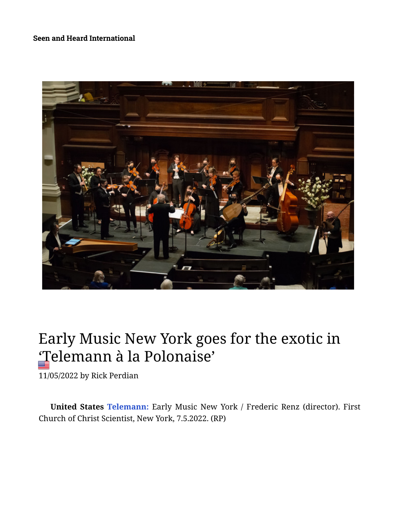## **[Seen and Heard International](https://seenandheard-international.com/)**



## Early Music New York goes for the exotic in 'Telemann à la Polonaise'

11/05/2022 by [Rick Perdian](https://seenandheard-international.com/author/rick-perdian/)

**United States Telemann:** Early Music New York / Frederic Renz (director). First Church of Christ Scientist, New York, 7.5.2022. (RP)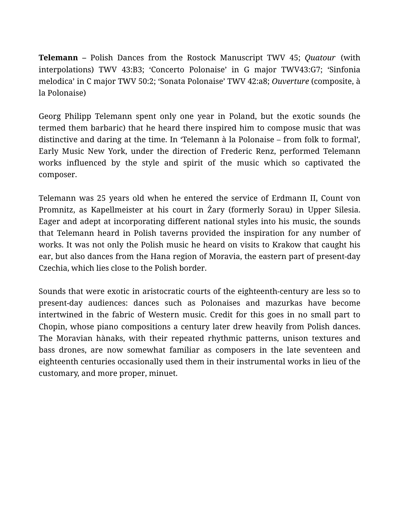**Telemann –** Polish Dances from the Rostock Manuscript TWV 45; *Quatour* (with interpolations) TWV 43:B3; 'Concerto Polonaise' in G major TWV43:G7; 'Sinfonia melodica' in C major TWV 50:2; 'Sonata Polonaise' TWV 42:a8; *Ouverture* (composite, à la Polonaise)

Georg Philipp Telemann spent only one year in Poland, but the exotic sounds (he termed them barbaric) that he heard there inspired him to compose music that was distinctive and daring at the time. In 'Telemann à la Polonaise – from folk to formal'*,* Early Music New York, under the direction of Frederic Renz, performed Telemann works influenced by the style and spirit of the music which so captivated the composer.

Telemann was 25 years old when he entered the service of Erdmann II, Count von Promnitz, as Kapellmeister at his court in Żary (formerly Sorau) in Upper Silesia. Eager and adept at incorporating different national styles into his music, the sounds that Telemann heard in Polish taverns provided the inspiration for any number of works. It was not only the Polish music he heard on visits to Krakow that caught his ear, but also dances from the Hana region of Moravia, the eastern part of present-day Czechia, which lies close to the Polish border.

Sounds that were exotic in aristocratic courts of the eighteenth-century are less so to present-day audiences: dances such as Polonaises and mazurkas have become intertwined in the fabric of Western music. Credit for this goes in no small part to Chopin, whose piano compositions a century later drew heavily from Polish dances. The Moravian hànaks, with their repeated rhythmic patterns, unison textures and bass drones, are now somewhat familiar as composers in the late seventeen and eighteenth centuries occasionally used them in their instrumental works in lieu of the customary, and more proper, minuet.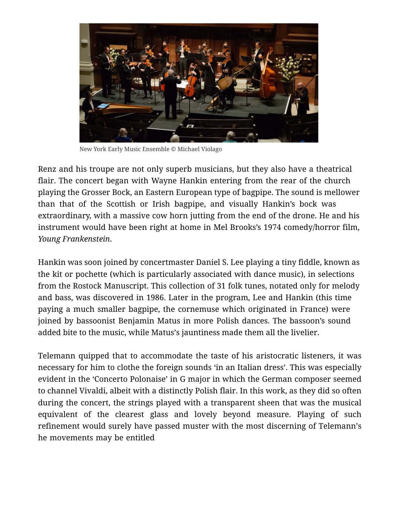

New York Early Music Ensemble © Michael Violago

Renz and his troupe are not only superb musicians, but they also have a theatrical flair. The concert began with Wayne Hankin entering from the rear of the church playing the Grosser Bock, an Eastern European type of bagpipe. The sound is mellower than that of the Scottish or Irish bagpipe, and visually Hankin's bock was extraordinary, with a massive cow horn jutting from the end of the drone. He and his instrument would have been right at home in Mel Brooks's 1974 comedy/horror film, *Young Frankenstein*.

Hankin was soon joined by concertmaster Daniel S. Lee playing a tiny fiddle, known as the kit or pochette (which is particularly associated with dance music), in selections from the Rostock Manuscript. This collection of 31 folk tunes, notated only for melody and bass, was discovered in 1986. Later in the program, Lee and Hankin (this time paying a much smaller bagpipe, the cornemuse which originated in France) were joined by bassoonist Benjamin Matus in more Polish dances. The bassoon's sound added bite to the music, while Matus's jauntiness made them all the livelier.

Telemann quipped that to accommodate the taste of his aristocratic listeners, it was necessary for him to clothe the foreign sounds 'in an Italian dress'. This was especially evident in the 'Concerto Polonaise' in G major in which the German composer seemed to channel Vivaldi, albeit with a distinctly Polish flair. In this work, as they did so often during the concert, the strings played with a transparent sheen that was the musical equivalent of the clearest glass and lovely beyond measure. Playing of such refinement would surely have passed muster with the most discerning of Telemann's he movements may be entitled